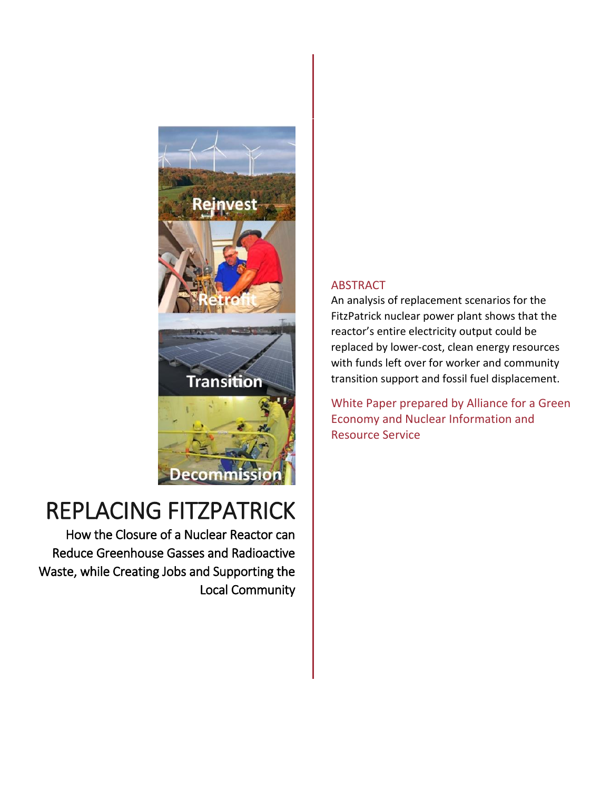

# REPLACING FITZPATRICK

How the Closure of a Nuclear Reactor can Reduce Greenhouse Gasses and Radioactive Waste, while Creating Jobs and Supporting the Local Community

### ABSTRACT

An analysis of replacement scenarios for the FitzPatrick nuclear power plant shows that the reactor's entire electricity output could be replaced by lower-cost, clean energy resources with funds left over for worker and community transition support and fossil fuel displacement.

White Paper prepared by Alliance for a Green Economy and Nuclear Information and Resource Service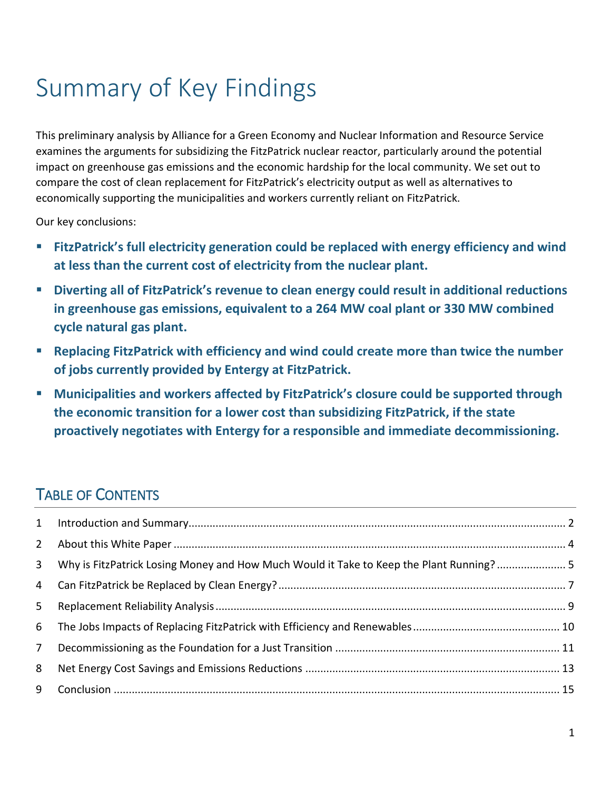# Summary of Key Findings

This preliminary analysis by Alliance for a Green Economy and Nuclear Information and Resource Service examines the arguments for subsidizing the FitzPatrick nuclear reactor, particularly around the potential impact on greenhouse gas emissions and the economic hardship for the local community. We set out to compare the cost of clean replacement for FitzPatrick's electricity output as well as alternatives to economically supporting the municipalities and workers currently reliant on FitzPatrick.

Our key conclusions:

- **FitzPatrick's full electricity generation could be replaced with energy efficiency and wind at less than the current cost of electricity from the nuclear plant.**
- **Diverting all of FitzPatrick's revenue to clean energy could result in additional reductions in greenhouse gas emissions, equivalent to a 264 MW coal plant or 330 MW combined cycle natural gas plant.**
- **Replacing FitzPatrick with efficiency and wind could create more than twice the number of jobs currently provided by Entergy at FitzPatrick.**
- **Municipalities and workers affected by FitzPatrick's closure could be supported through the economic transition for a lower cost than subsidizing FitzPatrick, if the state proactively negotiates with Entergy for a responsible and immediate decommissioning.**

## TABLE OF CONTENTS

|                | 3 Why is FitzPatrick Losing Money and How Much Would it Take to Keep the Plant Running? 5 |  |
|----------------|-------------------------------------------------------------------------------------------|--|
|                |                                                                                           |  |
| 5 <sup>1</sup> |                                                                                           |  |
| 6              |                                                                                           |  |
| 7 <sup>7</sup> |                                                                                           |  |
| 8              |                                                                                           |  |
| 9              |                                                                                           |  |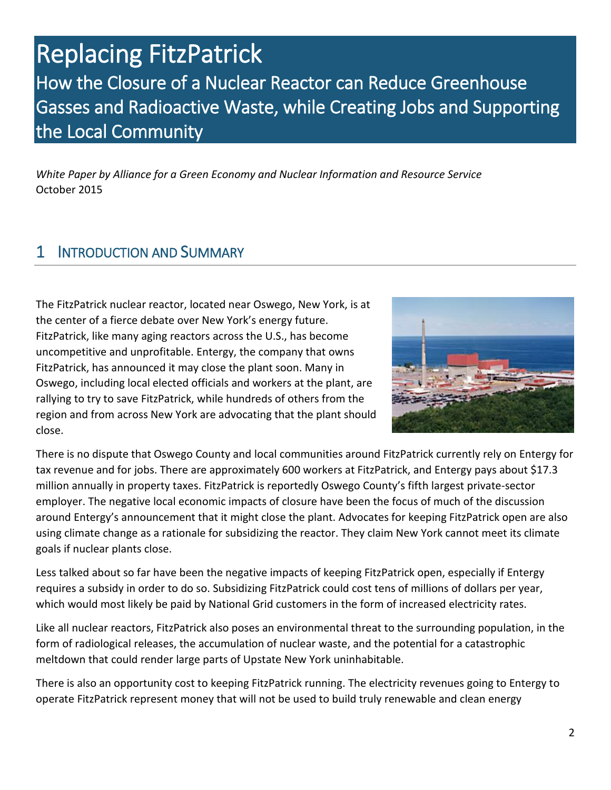# Replacing FitzPatrick How the Closure of a Nuclear Reactor can Reduce Greenhouse Gasses and Radioactive Waste, while Creating Jobs and Supporting the Local Community

*White Paper by Alliance for a Green Economy and Nuclear Information and Resource Service* October 2015

### <span id="page-2-0"></span>1 INTRODUCTION AND SUMMARY

The FitzPatrick nuclear reactor, located near Oswego, New York, is at the center of a fierce debate over New York's energy future. FitzPatrick, like many aging reactors across the U.S., has become uncompetitive and unprofitable. Entergy, the company that owns FitzPatrick, has announced it may close the plant soon. Many in Oswego, including local elected officials and workers at the plant, are rallying to try to save FitzPatrick, while hundreds of others from the region and from across New York are advocating that the plant should close.



There is no dispute that Oswego County and local communities around FitzPatrick currently rely on Entergy for tax revenue and for jobs. There are approximately 600 workers at FitzPatrick, and Entergy pays about \$17.3 million annually in property taxes. FitzPatrick is reportedly Oswego County's fifth largest private-sector employer. The negative local economic impacts of closure have been the focus of much of the discussion around Entergy's announcement that it might close the plant. Advocates for keeping FitzPatrick open are also using climate change as a rationale for subsidizing the reactor. They claim New York cannot meet its climate goals if nuclear plants close.

Less talked about so far have been the negative impacts of keeping FitzPatrick open, especially if Entergy requires a subsidy in order to do so. Subsidizing FitzPatrick could cost tens of millions of dollars per year, which would most likely be paid by National Grid customers in the form of increased electricity rates.

Like all nuclear reactors, FitzPatrick also poses an environmental threat to the surrounding population, in the form of radiological releases, the accumulation of nuclear waste, and the potential for a catastrophic meltdown that could render large parts of Upstate New York uninhabitable.

There is also an opportunity cost to keeping FitzPatrick running. The electricity revenues going to Entergy to operate FitzPatrick represent money that will not be used to build truly renewable and clean energy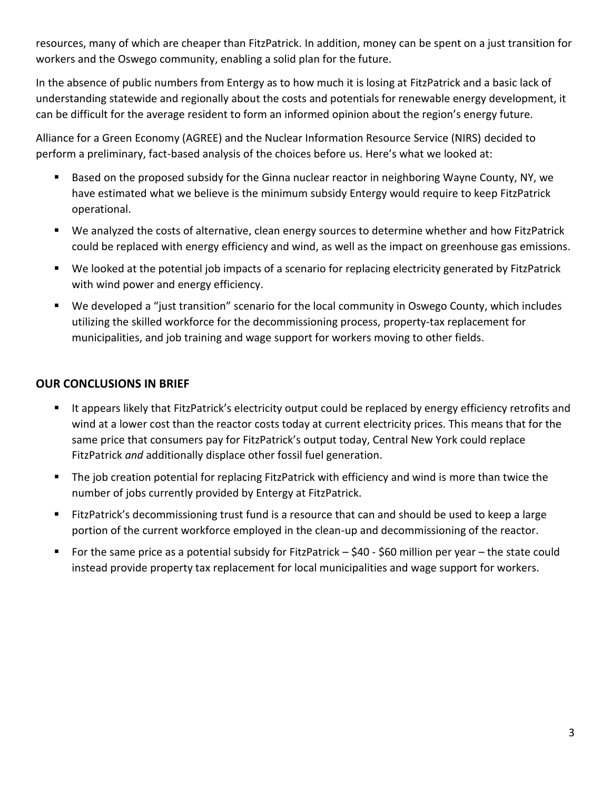resources, many of which are cheaper than FitzPatrick. In addition, money can be spent on a just transition for workers and the Oswego community, enabling a solid plan for the future.

In the absence of public numbers from Entergy as to how much it is losing at FitzPatrick and a basic lack of understanding statewide and regionally about the costs and potentials for renewable energy development, it can be difficult for the average resident to form an informed opinion about the region's energy future.

Alliance for a Green Economy (AGREE) and the Nuclear Information Resource Service (NIRS) decided to perform a preliminary, fact-based analysis of the choices before us. Here's what we looked at:

- Based on the proposed subsidy for the Ginna nuclear reactor in neighboring Wayne County, NY, we have estimated what we believe is the minimum subsidy Entergy would require to keep FitzPatrick operational.
- We analyzed the costs of alternative, clean energy sources to determine whether and how FitzPatrick could be replaced with energy efficiency and wind, as well as the impact on greenhouse gas emissions.
- We looked at the potential job impacts of a scenario for replacing electricity generated by FitzPatrick with wind power and energy efficiency.
- We developed a "just transition" scenario for the local community in Oswego County, which includes utilizing the skilled workforce for the decommissioning process, property-tax replacement for municipalities, and job training and wage support for workers moving to other fields.

### **OUR CONCLUSIONS IN BRIEF**

- It appears likely that FitzPatrick's electricity output could be replaced by energy efficiency retrofits and wind at a lower cost than the reactor costs today at current electricity prices. This means that for the same price that consumers pay for FitzPatrick's output today, Central New York could replace FitzPatrick *and* additionally displace other fossil fuel generation.
- The job creation potential for replacing FitzPatrick with efficiency and wind is more than twice the number of jobs currently provided by Entergy at FitzPatrick.
- FitzPatrick's decommissioning trust fund is a resource that can and should be used to keep a large portion of the current workforce employed in the clean-up and decommissioning of the reactor.
- For the same price as a potential subsidy for FitzPatrick \$40 \$60 million per year the state could instead provide property tax replacement for local municipalities and wage support for workers.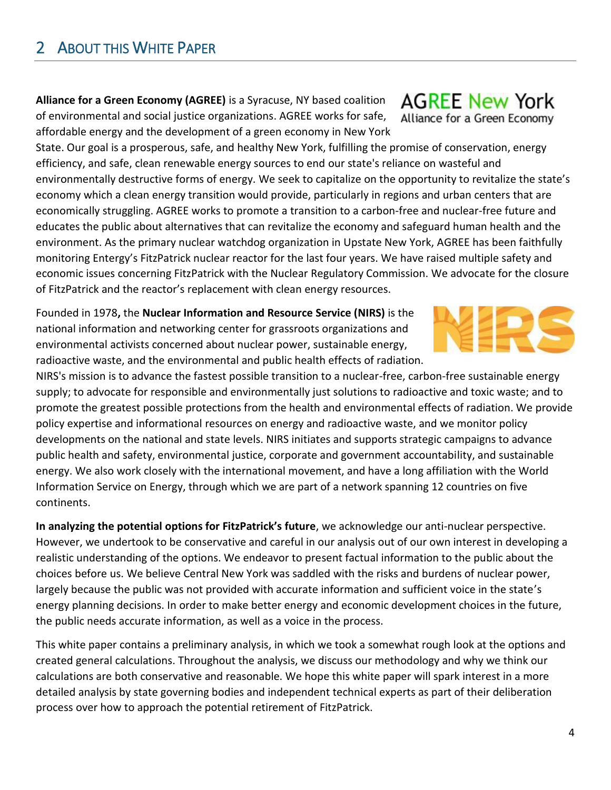<span id="page-4-0"></span>2 ABOUT THIS WHITE PAPER

**Alliance for a Green Economy (AGREE)** is a Syracuse, NY based coalition of environmental and social justice organizations. AGREE works for safe, affordable energy and the development of a green economy in New York

State. Our goal is a prosperous, safe, and healthy New York, fulfilling the promise of conservation, energy efficiency, and safe, clean renewable energy sources to end our state's reliance on wasteful and environmentally destructive forms of energy. We seek to capitalize on the opportunity to revitalize the state's economy which a clean energy transition would provide, particularly in regions and urban centers that are economically struggling. AGREE works to promote a transition to a carbon-free and nuclear-free future and educates the public about alternatives that can revitalize the economy and safeguard human health and the environment. As the primary nuclear watchdog organization in Upstate New York, AGREE has been faithfully monitoring Entergy's FitzPatrick nuclear reactor for the last four years. We have raised multiple safety and economic issues concerning FitzPatrick with the Nuclear Regulatory Commission. We advocate for the closure of FitzPatrick and the reactor's replacement with clean energy resources.

Founded in 1978**,** the **Nuclear Information and Resource Service (NIRS)** is the national information and networking center for grassroots organizations and environmental activists concerned about nuclear power, sustainable energy, radioactive waste, and the environmental and public health effects of radiation.

NIRS's mission is to advance the fastest possible transition to a nuclear-free, carbon-free sustainable energy supply; to advocate for responsible and environmentally just solutions to radioactive and toxic waste; and to promote the greatest possible protections from the health and environmental effects of radiation. We provide policy expertise and informational resources on energy and radioactive waste, and we monitor policy developments on the national and state levels. NIRS initiates and supports strategic campaigns to advance public health and safety, environmental justice, corporate and government accountability, and sustainable energy. We also work closely with the international movement, and have a long affiliation with the World Information Service on Energy, through which we are part of a network spanning 12 countries on five continents.

**In analyzing the potential options for FitzPatrick's future**, we acknowledge our anti-nuclear perspective. However, we undertook to be conservative and careful in our analysis out of our own interest in developing a realistic understanding of the options. We endeavor to present factual information to the public about the choices before us. We believe Central New York was saddled with the risks and burdens of nuclear power, largely because the public was not provided with accurate information and sufficient voice in the state's energy planning decisions. In order to make better energy and economic development choices in the future, the public needs accurate information, as well as a voice in the process.

This white paper contains a preliminary analysis, in which we took a somewhat rough look at the options and created general calculations. Throughout the analysis, we discuss our methodology and why we think our calculations are both conservative and reasonable. We hope this white paper will spark interest in a more detailed analysis by state governing bodies and independent technical experts as part of their deliberation process over how to approach the potential retirement of FitzPatrick.

**AGREE New York** Alliance for a Green Economy

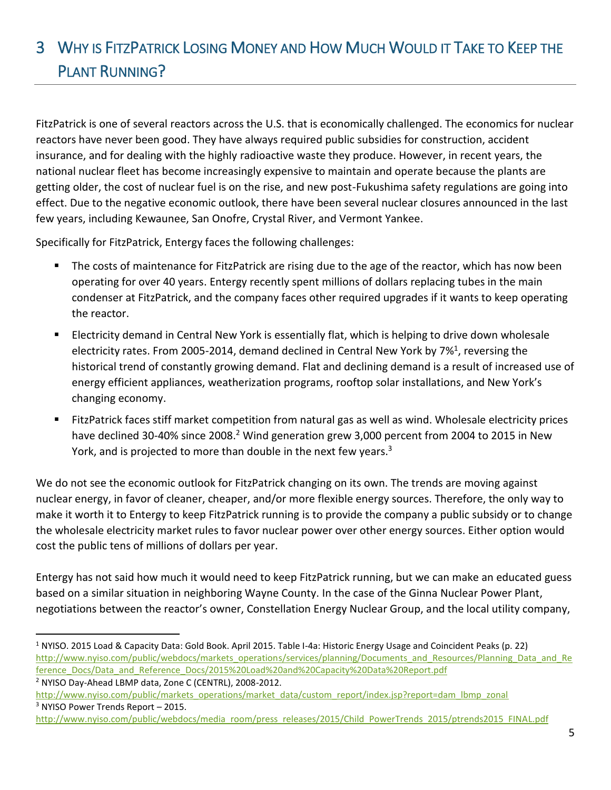## <span id="page-5-0"></span>3 WHY IS FITZPATRICK LOSING MONEY AND HOW MUCH WOULD IT TAKE TO KEEP THE PLANT RUNNING?

FitzPatrick is one of several reactors across the U.S. that is economically challenged. The economics for nuclear reactors have never been good. They have always required public subsidies for construction, accident insurance, and for dealing with the highly radioactive waste they produce. However, in recent years, the national nuclear fleet has become increasingly expensive to maintain and operate because the plants are getting older, the cost of nuclear fuel is on the rise, and new post-Fukushima safety regulations are going into effect. Due to the negative economic outlook, there have been several nuclear closures announced in the last few years, including Kewaunee, San Onofre, Crystal River, and Vermont Yankee.

Specifically for FitzPatrick, Entergy faces the following challenges:

- The costs of maintenance for FitzPatrick are rising due to the age of the reactor, which has now been operating for over 40 years. Entergy recently spent millions of dollars replacing tubes in the main condenser at FitzPatrick, and the company faces other required upgrades if it wants to keep operating the reactor.
- Electricity demand in Central New York is essentially flat, which is helping to drive down wholesale electricity rates. From 2005-2014, demand declined in Central New York by 7%<sup>1</sup>, reversing the historical trend of constantly growing demand. Flat and declining demand is a result of increased use of energy efficient appliances, weatherization programs, rooftop solar installations, and New York's changing economy.
- FitzPatrick faces stiff market competition from natural gas as well as wind. Wholesale electricity prices have declined 30-40% since 2008.<sup>2</sup> Wind generation grew 3,000 percent from 2004 to 2015 in New York, and is projected to more than double in the next few years.<sup>3</sup>

We do not see the economic outlook for FitzPatrick changing on its own. The trends are moving against nuclear energy, in favor of cleaner, cheaper, and/or more flexible energy sources. Therefore, the only way to make it worth it to Entergy to keep FitzPatrick running is to provide the company a public subsidy or to change the wholesale electricity market rules to favor nuclear power over other energy sources. Either option would cost the public tens of millions of dollars per year.

Entergy has not said how much it would need to keep FitzPatrick running, but we can make an educated guess based on a similar situation in neighboring Wayne County. In the case of the Ginna Nuclear Power Plant, negotiations between the reactor's owner, Constellation Energy Nuclear Group, and the local utility company,

<sup>&</sup>lt;sup>1</sup> NYISO. 2015 Load & Capacity Data: Gold Book. April 2015. Table I-4a: Historic Energy Usage and Coincident Peaks (p. 22) [http://www.nyiso.com/public/webdocs/markets\\_operations/services/planning/Documents\\_and\\_Resources/Planning\\_Data\\_and\\_Re](http://www.nyiso.com/public/webdocs/markets_operations/services/planning/Documents_and_Resources/Planning_Data_and_Reference_Docs/Data_and_Reference_Docs/2015%20Load%20and%20Capacity%20Data%20Report.pdf) [ference\\_Docs/Data\\_and\\_Reference\\_Docs/2015%20Load%20and%20Capacity%20Data%20Report.pdf](http://www.nyiso.com/public/webdocs/markets_operations/services/planning/Documents_and_Resources/Planning_Data_and_Reference_Docs/Data_and_Reference_Docs/2015%20Load%20and%20Capacity%20Data%20Report.pdf)

<sup>2</sup> NYISO Day-Ahead LBMP data, Zone C (CENTRL), 2008-2012.

[http://www.nyiso.com/public/markets\\_operations/market\\_data/custom\\_report/index.jsp?report=dam\\_lbmp\\_zonal](http://www.nyiso.com/public/markets_operations/market_data/custom_report/index.jsp?report=dam_lbmp_zonal) <sup>3</sup> NYISO Power Trends Report - 2015.

[http://www.nyiso.com/public/webdocs/media\\_room/press\\_releases/2015/Child\\_PowerTrends\\_2015/ptrends2015\\_FINAL.pdf](http://www.nyiso.com/public/webdocs/media_room/press_releases/2015/Child_PowerTrends_2015/ptrends2015_FINAL.pdf)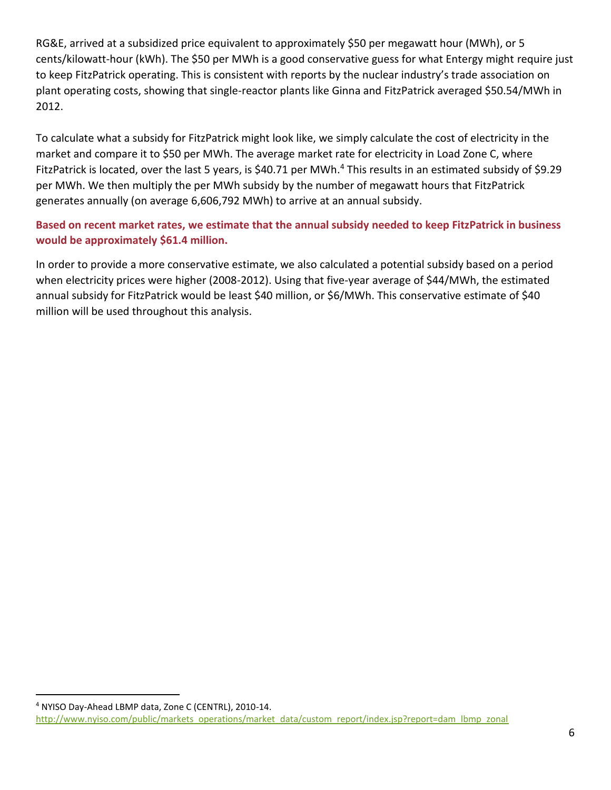RG&E, arrived at a subsidized price equivalent to approximately \$50 per megawatt hour (MWh), or 5 cents/kilowatt-hour (kWh). The \$50 per MWh is a good conservative guess for what Entergy might require just to keep FitzPatrick operating. This is consistent with reports by the nuclear industry's trade association on plant operating costs, showing that single-reactor plants like Ginna and FitzPatrick averaged \$50.54/MWh in 2012.

To calculate what a subsidy for FitzPatrick might look like, we simply calculate the cost of electricity in the market and compare it to \$50 per MWh. The average market rate for electricity in Load Zone C, where FitzPatrick is located, over the last 5 years, is \$40.71 per MWh.<sup>4</sup> This results in an estimated subsidy of \$9.29 per MWh. We then multiply the per MWh subsidy by the number of megawatt hours that FitzPatrick generates annually (on average 6,606,792 MWh) to arrive at an annual subsidy.

### **Based on recent market rates, we estimate that the annual subsidy needed to keep FitzPatrick in business would be approximately \$61.4 million.**

In order to provide a more conservative estimate, we also calculated a potential subsidy based on a period when electricity prices were higher (2008-2012). Using that five-year average of \$44/MWh, the estimated annual subsidy for FitzPatrick would be least \$40 million, or \$6/MWh. This conservative estimate of \$40 million will be used throughout this analysis.

<sup>4</sup> NYISO Day-Ahead LBMP data, Zone C (CENTRL), 2010-14. [http://www.nyiso.com/public/markets\\_operations/market\\_data/custom\\_report/index.jsp?report=dam\\_lbmp\\_zonal](http://www.nyiso.com/public/markets_operations/market_data/custom_report/index.jsp?report=dam_lbmp_zonal)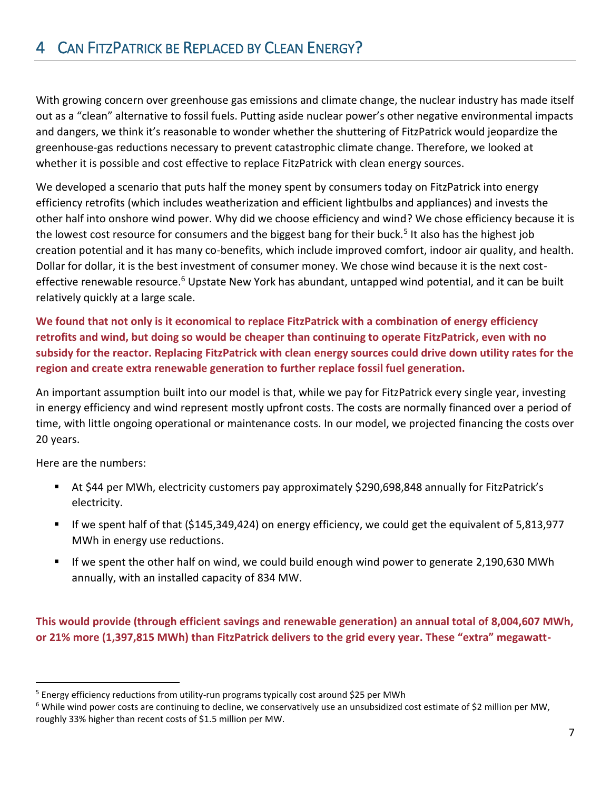## <span id="page-7-0"></span>4 CAN FITZPATRICK BE REPLACED BY CLEAN ENERGY?

With growing concern over greenhouse gas emissions and climate change, the nuclear industry has made itself out as a "clean" alternative to fossil fuels. Putting aside nuclear power's other negative environmental impacts and dangers, we think it's reasonable to wonder whether the shuttering of FitzPatrick would jeopardize the greenhouse-gas reductions necessary to prevent catastrophic climate change. Therefore, we looked at whether it is possible and cost effective to replace FitzPatrick with clean energy sources.

We developed a scenario that puts half the money spent by consumers today on FitzPatrick into energy efficiency retrofits (which includes weatherization and efficient lightbulbs and appliances) and invests the other half into onshore wind power. Why did we choose efficiency and wind? We chose efficiency because it is the lowest cost resource for consumers and the biggest bang for their buck.<sup>5</sup> It also has the highest job creation potential and it has many co-benefits, which include improved comfort, indoor air quality, and health. Dollar for dollar, it is the best investment of consumer money. We chose wind because it is the next costeffective renewable resource.<sup>6</sup> Upstate New York has abundant, untapped wind potential, and it can be built relatively quickly at a large scale.

**We found that not only is it economical to replace FitzPatrick with a combination of energy efficiency retrofits and wind, but doing so would be cheaper than continuing to operate FitzPatrick, even with no subsidy for the reactor. Replacing FitzPatrick with clean energy sources could drive down utility rates for the region and create extra renewable generation to further replace fossil fuel generation.** 

An important assumption built into our model is that, while we pay for FitzPatrick every single year, investing in energy efficiency and wind represent mostly upfront costs. The costs are normally financed over a period of time, with little ongoing operational or maintenance costs. In our model, we projected financing the costs over 20 years.

Here are the numbers:

 $\overline{a}$ 

- At \$44 per MWh, electricity customers pay approximately \$290,698,848 annually for FitzPatrick's electricity.
- If we spent half of that (\$145,349,424) on energy efficiency, we could get the equivalent of 5,813,977 MWh in energy use reductions.
- If we spent the other half on wind, we could build enough wind power to generate 2,190,630 MWh annually, with an installed capacity of 834 MW.

**This would provide (through efficient savings and renewable generation) an annual total of 8,004,607 MWh, or 21% more (1,397,815 MWh) than FitzPatrick delivers to the grid every year. These "extra" megawatt-**

 $5$  Energy efficiency reductions from utility-run programs typically cost around \$25 per MWh

<sup>&</sup>lt;sup>6</sup> While wind power costs are continuing to decline, we conservatively use an unsubsidized cost estimate of \$2 million per MW, roughly 33% higher than recent costs of \$1.5 million per MW.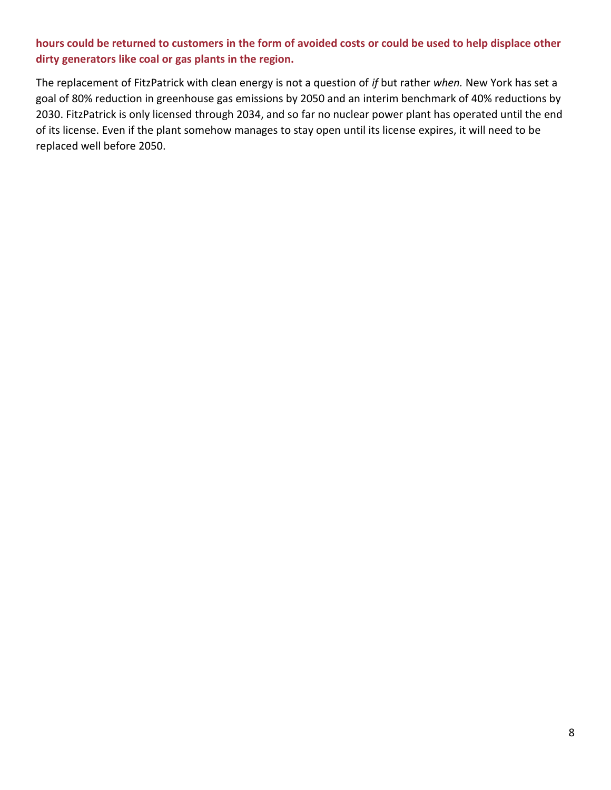### **hours could be returned to customers in the form of avoided costs or could be used to help displace other dirty generators like coal or gas plants in the region.**

The replacement of FitzPatrick with clean energy is not a question of *if* but rather *when.* New York has set a goal of 80% reduction in greenhouse gas emissions by 2050 and an interim benchmark of 40% reductions by 2030. FitzPatrick is only licensed through 2034, and so far no nuclear power plant has operated until the end of its license. Even if the plant somehow manages to stay open until its license expires, it will need to be replaced well before 2050.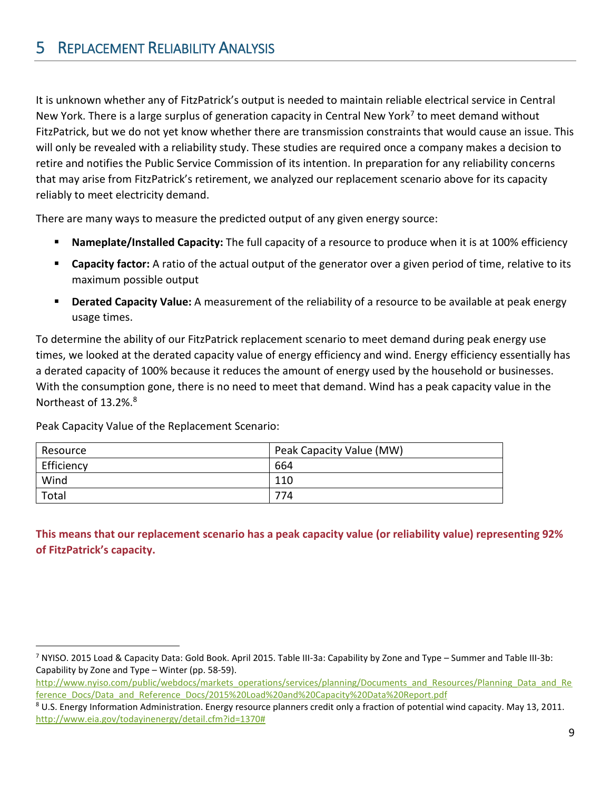<span id="page-9-0"></span>It is unknown whether any of FitzPatrick's output is needed to maintain reliable electrical service in Central New York. There is a large surplus of generation capacity in Central New York<sup>7</sup> to meet demand without FitzPatrick, but we do not yet know whether there are transmission constraints that would cause an issue. This will only be revealed with a reliability study. These studies are required once a company makes a decision to retire and notifies the Public Service Commission of its intention. In preparation for any reliability concerns that may arise from FitzPatrick's retirement, we analyzed our replacement scenario above for its capacity reliably to meet electricity demand.

There are many ways to measure the predicted output of any given energy source:

- **Nameplate/Installed Capacity:** The full capacity of a resource to produce when it is at 100% efficiency
- **Capacity factor:** A ratio of the actual output of the generator over a given period of time, relative to its maximum possible output
- **Derated Capacity Value:** A measurement of the reliability of a resource to be available at peak energy usage times.

To determine the ability of our FitzPatrick replacement scenario to meet demand during peak energy use times, we looked at the derated capacity value of energy efficiency and wind. Energy efficiency essentially has a derated capacity of 100% because it reduces the amount of energy used by the household or businesses. With the consumption gone, there is no need to meet that demand. Wind has a peak capacity value in the Northeast of 13.2%.<sup>8</sup>

| Resource   | Peak Capacity Value (MW) |
|------------|--------------------------|
| Efficiency | 664                      |
| Wind       | 110                      |
| Total      | 774                      |
|            |                          |

Peak Capacity Value of the Replacement Scenario:

 $\overline{a}$ 

**This means that our replacement scenario has a peak capacity value (or reliability value) representing 92% of FitzPatrick's capacity.**

<sup>7</sup> NYISO. 2015 Load & Capacity Data: Gold Book. April 2015. Table III-3a: Capability by Zone and Type – Summer and Table III-3b: Capability by Zone and Type – Winter (pp. 58-59).

[http://www.nyiso.com/public/webdocs/markets\\_operations/services/planning/Documents\\_and\\_Resources/Planning\\_Data\\_and\\_Re](http://www.nyiso.com/public/webdocs/markets_operations/services/planning/Documents_and_Resources/Planning_Data_and_Reference_Docs/Data_and_Reference_Docs/2015%20Load%20and%20Capacity%20Data%20Report.pdf) [ference\\_Docs/Data\\_and\\_Reference\\_Docs/2015%20Load%20and%20Capacity%20Data%20Report.pdf](http://www.nyiso.com/public/webdocs/markets_operations/services/planning/Documents_and_Resources/Planning_Data_and_Reference_Docs/Data_and_Reference_Docs/2015%20Load%20and%20Capacity%20Data%20Report.pdf)

<sup>&</sup>lt;sup>8</sup> U.S. Energy Information Administration. Energy resource planners credit only a fraction of potential wind capacity. May 13, 2011. [http://www.eia.gov/todayinenergy/detail.cfm?id=1370#](http://www.eia.gov/todayinenergy/detail.cfm?id=1370)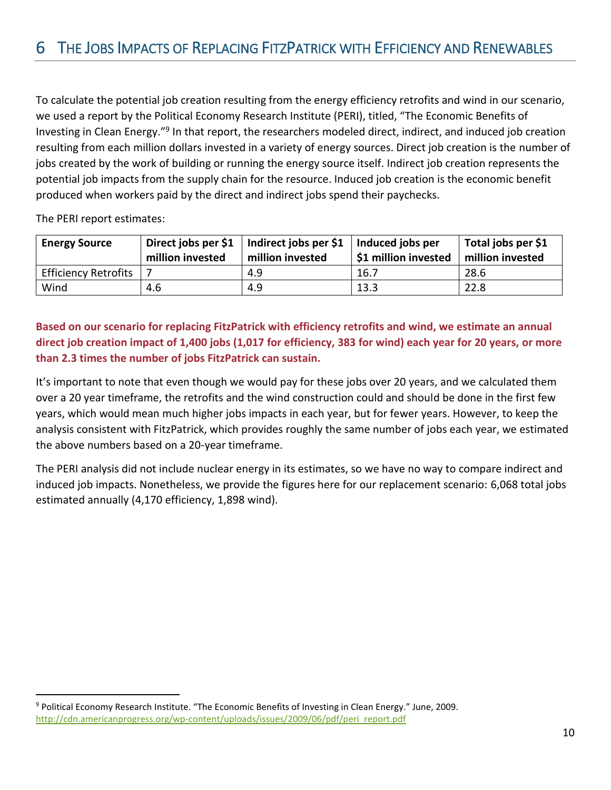<span id="page-10-0"></span>To calculate the potential job creation resulting from the energy efficiency retrofits and wind in our scenario, we used a report by the Political Economy Research Institute (PERI), titled, "The Economic Benefits of Investing in Clean Energy."<sup>9</sup> In that report, the researchers modeled direct, indirect, and induced job creation resulting from each million dollars invested in a variety of energy sources. Direct job creation is the number of jobs created by the work of building or running the energy source itself. Indirect job creation represents the potential job impacts from the supply chain for the resource. Induced job creation is the economic benefit produced when workers paid by the direct and indirect jobs spend their paychecks.

The PERI report estimates:

 $\overline{a}$ 

| <b>Energy Source</b>        | million invested | Direct jobs per \$1   Indirect jobs per \$1   Induced jobs per<br>million invested | <b>S1 million invested</b> | Total jobs per \$1<br>million invested |
|-----------------------------|------------------|------------------------------------------------------------------------------------|----------------------------|----------------------------------------|
| <b>Efficiency Retrofits</b> |                  | 4.9                                                                                | 16.7                       | 28.6                                   |
| Wind                        | 4.6              | 4.9                                                                                | 13.3                       | 22.8                                   |

**Based on our scenario for replacing FitzPatrick with efficiency retrofits and wind, we estimate an annual direct job creation impact of 1,400 jobs (1,017 for efficiency, 383 for wind) each year for 20 years, or more than 2.3 times the number of jobs FitzPatrick can sustain.** 

It's important to note that even though we would pay for these jobs over 20 years, and we calculated them over a 20 year timeframe, the retrofits and the wind construction could and should be done in the first few years, which would mean much higher jobs impacts in each year, but for fewer years. However, to keep the analysis consistent with FitzPatrick, which provides roughly the same number of jobs each year, we estimated the above numbers based on a 20-year timeframe.

The PERI analysis did not include nuclear energy in its estimates, so we have no way to compare indirect and induced job impacts. Nonetheless, we provide the figures here for our replacement scenario: 6,068 total jobs estimated annually (4,170 efficiency, 1,898 wind).

<sup>9</sup> Political Economy Research Institute. "The Economic Benefits of Investing in Clean Energy." June, 2009. [http://cdn.americanprogress.org/wp-content/uploads/issues/2009/06/pdf/peri\\_report.pdf](http://cdn.americanprogress.org/wp-content/uploads/issues/2009/06/pdf/peri_report.pdf)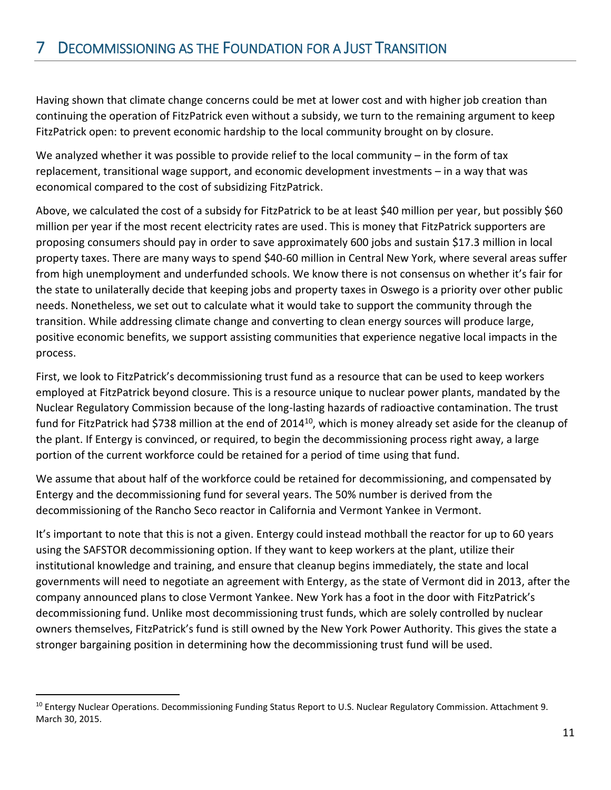<span id="page-11-0"></span>Having shown that climate change concerns could be met at lower cost and with higher job creation than continuing the operation of FitzPatrick even without a subsidy, we turn to the remaining argument to keep FitzPatrick open: to prevent economic hardship to the local community brought on by closure.

We analyzed whether it was possible to provide relief to the local community – in the form of tax replacement, transitional wage support, and economic development investments – in a way that was economical compared to the cost of subsidizing FitzPatrick.

Above, we calculated the cost of a subsidy for FitzPatrick to be at least \$40 million per year, but possibly \$60 million per year if the most recent electricity rates are used. This is money that FitzPatrick supporters are proposing consumers should pay in order to save approximately 600 jobs and sustain \$17.3 million in local property taxes. There are many ways to spend \$40-60 million in Central New York, where several areas suffer from high unemployment and underfunded schools. We know there is not consensus on whether it's fair for the state to unilaterally decide that keeping jobs and property taxes in Oswego is a priority over other public needs. Nonetheless, we set out to calculate what it would take to support the community through the transition. While addressing climate change and converting to clean energy sources will produce large, positive economic benefits, we support assisting communities that experience negative local impacts in the process.

First, we look to FitzPatrick's decommissioning trust fund as a resource that can be used to keep workers employed at FitzPatrick beyond closure. This is a resource unique to nuclear power plants, mandated by the Nuclear Regulatory Commission because of the long-lasting hazards of radioactive contamination. The trust fund for FitzPatrick had \$738 million at the end of 2014<sup>10</sup>, which is money already set aside for the cleanup of the plant. If Entergy is convinced, or required, to begin the decommissioning process right away, a large portion of the current workforce could be retained for a period of time using that fund.

We assume that about half of the workforce could be retained for decommissioning, and compensated by Entergy and the decommissioning fund for several years. The 50% number is derived from the decommissioning of the Rancho Seco reactor in California and Vermont Yankee in Vermont.

It's important to note that this is not a given. Entergy could instead mothball the reactor for up to 60 years using the SAFSTOR decommissioning option. If they want to keep workers at the plant, utilize their institutional knowledge and training, and ensure that cleanup begins immediately, the state and local governments will need to negotiate an agreement with Entergy, as the state of Vermont did in 2013, after the company announced plans to close Vermont Yankee. New York has a foot in the door with FitzPatrick's decommissioning fund. Unlike most decommissioning trust funds, which are solely controlled by nuclear owners themselves, FitzPatrick's fund is still owned by the New York Power Authority. This gives the state a stronger bargaining position in determining how the decommissioning trust fund will be used.

<sup>&</sup>lt;sup>10</sup> Entergy Nuclear Operations. Decommissioning Funding Status Report to U.S. Nuclear Regulatory Commission. Attachment 9. March 30, 2015.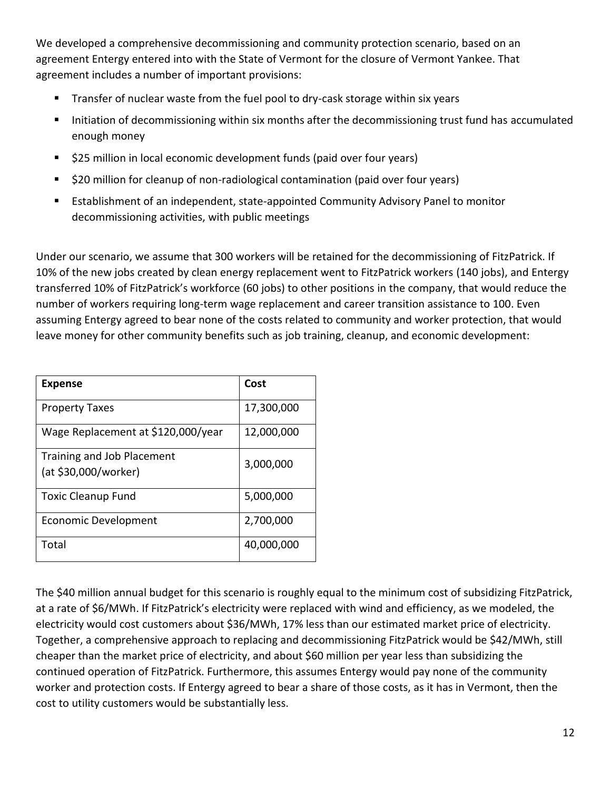We developed a comprehensive decommissioning and community protection scenario, based on an agreement Entergy entered into with the State of Vermont for the closure of Vermont Yankee. That agreement includes a number of important provisions:

- Transfer of nuclear waste from the fuel pool to dry-cask storage within six years
- Initiation of decommissioning within six months after the decommissioning trust fund has accumulated enough money
- \$25 million in local economic development funds (paid over four years)
- $\blacksquare$  \$20 million for cleanup of non-radiological contamination (paid over four years)
- Establishment of an independent, state-appointed Community Advisory Panel to monitor decommissioning activities, with public meetings

Under our scenario, we assume that 300 workers will be retained for the decommissioning of FitzPatrick. If 10% of the new jobs created by clean energy replacement went to FitzPatrick workers (140 jobs), and Entergy transferred 10% of FitzPatrick's workforce (60 jobs) to other positions in the company, that would reduce the number of workers requiring long-term wage replacement and career transition assistance to 100. Even assuming Entergy agreed to bear none of the costs related to community and worker protection, that would leave money for other community benefits such as job training, cleanup, and economic development:

| <b>Expense</b>                                     | Cost       |
|----------------------------------------------------|------------|
| <b>Property Taxes</b>                              | 17,300,000 |
| Wage Replacement at \$120,000/year                 | 12,000,000 |
| Training and Job Placement<br>(at \$30,000/worker) | 3,000,000  |
| <b>Toxic Cleanup Fund</b>                          | 5,000,000  |
| Economic Development                               | 2,700,000  |
| Total                                              | 40,000,000 |

The \$40 million annual budget for this scenario is roughly equal to the minimum cost of subsidizing FitzPatrick, at a rate of \$6/MWh. If FitzPatrick's electricity were replaced with wind and efficiency, as we modeled, the electricity would cost customers about \$36/MWh, 17% less than our estimated market price of electricity. Together, a comprehensive approach to replacing and decommissioning FitzPatrick would be \$42/MWh, still cheaper than the market price of electricity, and about \$60 million per year less than subsidizing the continued operation of FitzPatrick. Furthermore, this assumes Entergy would pay none of the community worker and protection costs. If Entergy agreed to bear a share of those costs, as it has in Vermont, then the cost to utility customers would be substantially less.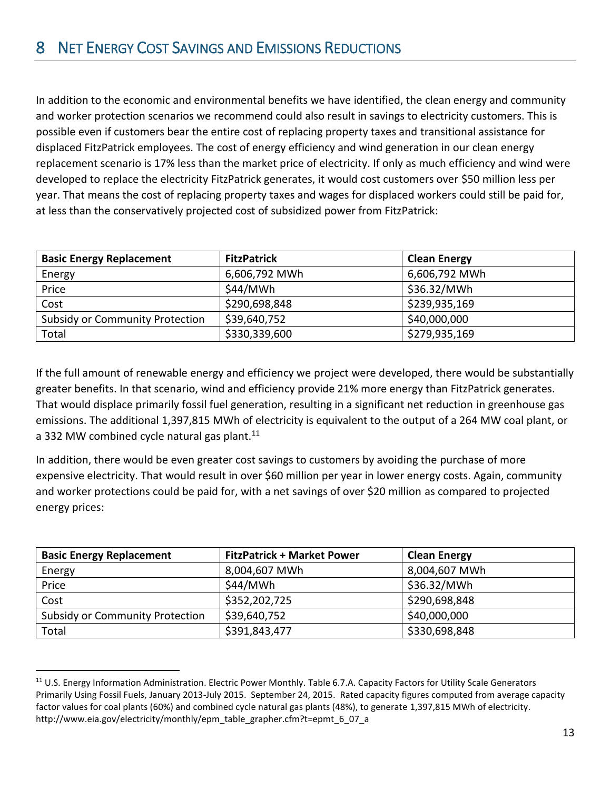<span id="page-13-0"></span>In addition to the economic and environmental benefits we have identified, the clean energy and community and worker protection scenarios we recommend could also result in savings to electricity customers. This is possible even if customers bear the entire cost of replacing property taxes and transitional assistance for displaced FitzPatrick employees. The cost of energy efficiency and wind generation in our clean energy replacement scenario is 17% less than the market price of electricity. If only as much efficiency and wind were developed to replace the electricity FitzPatrick generates, it would cost customers over \$50 million less per year. That means the cost of replacing property taxes and wages for displaced workers could still be paid for, at less than the conservatively projected cost of subsidized power from FitzPatrick:

| <b>Basic Energy Replacement</b>        | <b>FitzPatrick</b> | <b>Clean Energy</b> |
|----------------------------------------|--------------------|---------------------|
| Energy                                 | 6,606,792 MWh      | 6,606,792 MWh       |
| Price                                  | \$44/MWh           | \$36.32/MWh         |
| Cost                                   | \$290,698,848      | \$239,935,169       |
| <b>Subsidy or Community Protection</b> | \$39,640,752       | \$40,000,000        |
| Total                                  | \$330,339,600      | \$279,935,169       |

If the full amount of renewable energy and efficiency we project were developed, there would be substantially greater benefits. In that scenario, wind and efficiency provide 21% more energy than FitzPatrick generates. That would displace primarily fossil fuel generation, resulting in a significant net reduction in greenhouse gas emissions. The additional 1,397,815 MWh of electricity is equivalent to the output of a 264 MW coal plant, or a 332 MW combined cycle natural gas plant. $11$ 

In addition, there would be even greater cost savings to customers by avoiding the purchase of more expensive electricity. That would result in over \$60 million per year in lower energy costs. Again, community and worker protections could be paid for, with a net savings of over \$20 million as compared to projected energy prices:

| <b>Basic Energy Replacement</b>        | <b>FitzPatrick + Market Power</b> | <b>Clean Energy</b> |
|----------------------------------------|-----------------------------------|---------------------|
| Energy                                 | 8,004,607 MWh                     | 8,004,607 MWh       |
| Price                                  | \$44/MWh                          | \$36.32/MWh         |
| Cost                                   | \$352,202,725                     | \$290,698,848       |
| <b>Subsidy or Community Protection</b> | \$39,640,752                      | \$40,000,000        |
| Total                                  | \$391,843,477                     | \$330,698,848       |

<sup>&</sup>lt;sup>11</sup> U.S. Energy Information Administration. Electric Power Monthly. Table 6.7.A. Capacity Factors for Utility Scale Generators Primarily Using Fossil Fuels, January 2013-July 2015. September 24, 2015. Rated capacity figures computed from average capacity factor values for coal plants (60%) and combined cycle natural gas plants (48%), to generate 1,397,815 MWh of electricity. http://www.eia.gov/electricity/monthly/epm\_table\_grapher.cfm?t=epmt\_6\_07\_a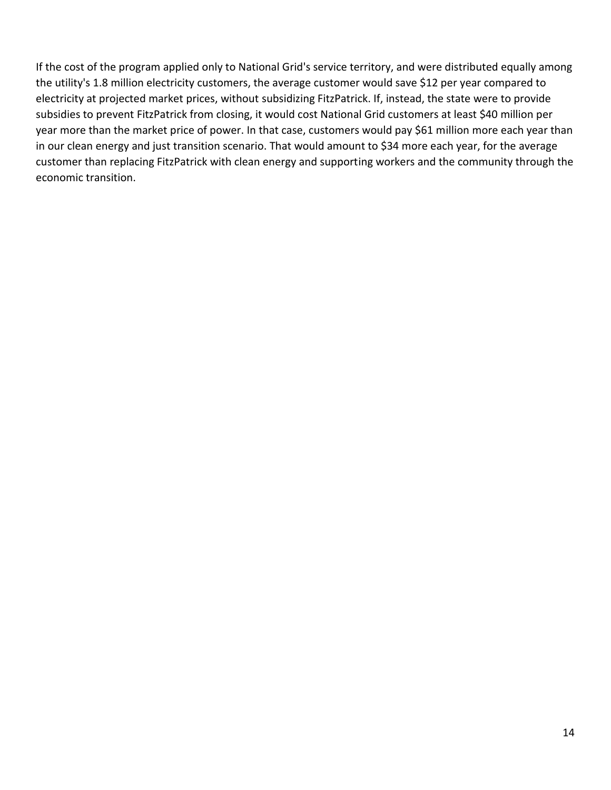If the cost of the program applied only to National Grid's service territory, and were distributed equally among the utility's 1.8 million electricity customers, the average customer would save \$12 per year compared to electricity at projected market prices, without subsidizing FitzPatrick. If, instead, the state were to provide subsidies to prevent FitzPatrick from closing, it would cost National Grid customers at least \$40 million per year more than the market price of power. In that case, customers would pay \$61 million more each year than in our clean energy and just transition scenario. That would amount to \$34 more each year, for the average customer than replacing FitzPatrick with clean energy and supporting workers and the community through the economic transition.